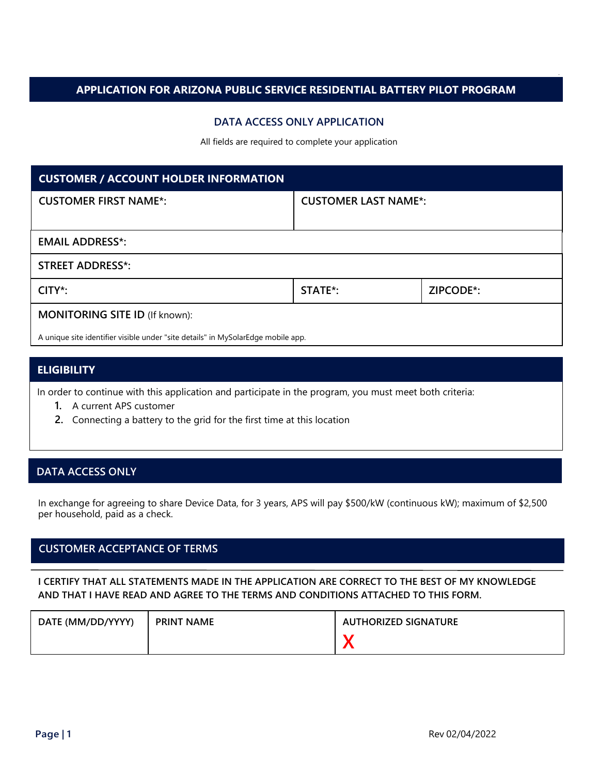## **APPLICATION FOR ARIZONA PUBLIC SERVICE RESIDENTIAL BATTERY PILOT PROGRAM**

## **DATA ACCESS ONLY APPLICATION**

All fields are required to complete your application

| <b>CUSTOMER / ACCOUNT HOLDER INFORMATION</b>                                     |                             |           |  |
|----------------------------------------------------------------------------------|-----------------------------|-----------|--|
| <b>CUSTOMER FIRST NAME*:</b>                                                     | <b>CUSTOMER LAST NAME*:</b> |           |  |
|                                                                                  |                             |           |  |
| <b>EMAIL ADDRESS*:</b>                                                           |                             |           |  |
| <b>STREET ADDRESS*:</b>                                                          |                             |           |  |
| $CITY^*$ :                                                                       | STATE <sup>*</sup> :        | ZIPCODE*: |  |
| <b>MONITORING SITE ID (If known):</b>                                            |                             |           |  |
| A unique site identifier visible under "site details" in MySolarEdge mobile app. |                             |           |  |

## **ELIGIBILITY**

In order to continue with this application and participate in the program, you must meet both criteria:

- **1.** A current APS customer
- **2.** Connecting a battery to the grid for the first time at this location

## **DATA ACCESS ONLY**

In exchange for agreeing to share Device Data, for 3 years, APS will pay \$500/kW (continuous kW); maximum of \$2,500 per household, paid as a check.

# **CUSTOMER ACCEPTANCE OF TERMS**

#### **I CERTIFY THAT ALL STATEMENTS MADE IN THE APPLICATION ARE CORRECT TO THE BEST OF MY KNOWLEDGE AND THAT I HAVE READ AND AGREE TO THE TERMS AND CONDITIONS ATTACHED TO THIS FORM.**

| DATE (MM/DD/YYYY) | <b>PRINT NAME</b> | <b>AUTHORIZED SIGNATURE</b> |
|-------------------|-------------------|-----------------------------|
|                   |                   |                             |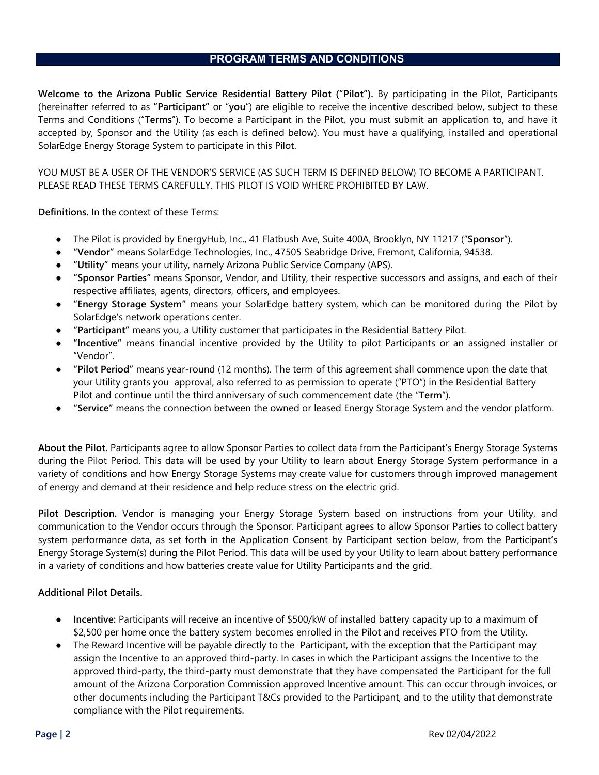# **PROGRAM TERMS AND CONDITIONS**

**Welcome to the Arizona Public Service Residential Battery Pilot ("Pilot").** By participating in the Pilot, Participants (hereinafter referred to as **"Participant"** or "**you**") are eligible to receive the incentive described below, subject to these Terms and Conditions ("**Terms**"). To become a Participant in the Pilot, you must submit an application to, and have it accepted by, Sponsor and the Utility (as each is defined below). You must have a qualifying, installed and operational SolarEdge Energy Storage System to participate in this Pilot.

YOU MUST BE A USER OF THE VENDOR'S SERVICE (AS SUCH TERM IS DEFINED BELOW) TO BECOME A PARTICIPANT. PLEASE READ THESE TERMS CAREFULLY. THIS PILOT IS VOID WHERE PROHIBITED BY LAW.

**Definitions.** In the context of these Terms:

- The Pilot is provided by EnergyHub, Inc., 41 Flatbush Ave, Suite 400A, Brooklyn, NY 11217 ("**Sponsor**").
- **"Vendor"** means SolarEdge Technologies, Inc., 47505 Seabridge Drive, Fremont, California, 94538.
- **"Utility"** means your utility, namely Arizona Public Service Company (APS).
- **"Sponsor Parties"** means Sponsor, Vendor, and Utility, their respective successors and assigns, and each of their respective affiliates, agents, directors, officers, and employees.
- **"Energy Storage System"** means your SolarEdge battery system, which can be monitored during the Pilot by SolarEdge's network operations center.
- **"Participant"** means you, a Utility customer that participates in the Residential Battery Pilot.
- **"Incentive"** means financial incentive provided by the Utility to pilot Participants or an assigned installer or "Vendor".
- **"Pilot Period"** means year-round (12 months). The term of this agreement shall commence upon the date that your Utility grants you approval, also referred to as permission to operate ("PTO") in the Residential Battery Pilot and continue until the third anniversary of such commencement date (the "**Term**").
- **"Service"** means the connection between the owned or leased Energy Storage System and the vendor platform.

**About the Pilot.** Participants agree to allow Sponsor Parties to collect data from the Participant's Energy Storage Systems during the Pilot Period. This data will be used by your Utility to learn about Energy Storage System performance in a variety of conditions and how Energy Storage Systems may create value for customers through improved management of energy and demand at their residence and help reduce stress on the electric grid.

**Pilot Description.** Vendor is managing your Energy Storage System based on instructions from your Utility, and communication to the Vendor occurs through the Sponsor. Participant agrees to allow Sponsor Parties to collect battery system performance data, as set forth in the Application Consent by Participant section below, from the Participant's Energy Storage System(s) during the Pilot Period. This data will be used by your Utility to learn about battery performance in a variety of conditions and how batteries create value for Utility Participants and the grid.

#### **Additional Pilot Details.**

- **Incentive:** Participants will receive an incentive of \$500/kW of installed battery capacity up to a maximum of \$2,500 per home once the battery system becomes enrolled in the Pilot and receives PTO from the Utility.
- The Reward Incentive will be payable directly to the Participant, with the exception that the Participant may assign the Incentive to an approved third-party. In cases in which the Participant assigns the Incentive to the approved third-party, the third-party must demonstrate that they have compensated the Participant for the full amount of the Arizona Corporation Commission approved Incentive amount. This can occur through invoices, or other documents including the Participant T&Cs provided to the Participant, and to the utility that demonstrate compliance with the Pilot requirements.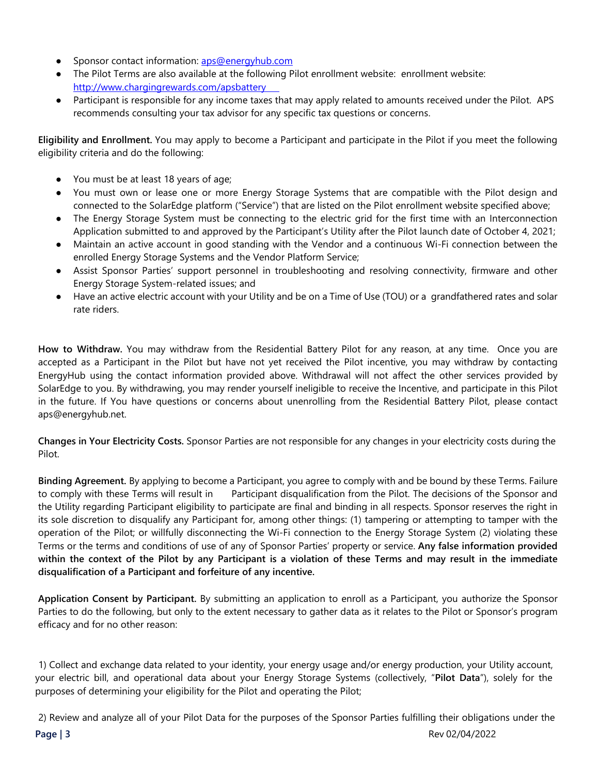- Sponsor contact information: [aps@energyhub.com](mailto:aps@energyhub.com)
- The Pilot Terms are also available at the following Pilot enrollment website: enrollment website: <http://www.chargingrewards.com/apsbattery>
- Participant is responsible for any income taxes that may apply related to amounts received under the Pilot. APS recommends consulting your tax advisor for any specific tax questions or concerns.

**Eligibility and Enrollment.** You may apply to become a Participant and participate in the Pilot if you meet the following eligibility criteria and do the following:

- You must be at least 18 years of age;
- You must own or lease one or more Energy Storage Systems that are compatible with the Pilot design and connected to the SolarEdge platform ("Service") that are listed on the Pilot enrollment website specified above;
- The Energy Storage System must be connecting to the electric grid for the first time with an Interconnection Application submitted to and approved by the Participant's Utility after the Pilot launch date of October 4, 2021;
- Maintain an active account in good standing with the Vendor and a continuous Wi-Fi connection between the enrolled Energy Storage Systems and the Vendor Platform Service;
- Assist Sponsor Parties' support personnel in troubleshooting and resolving connectivity, firmware and other Energy Storage System-related issues; and
- Have an active electric account with your Utility and be on a Time of Use (TOU) or a grandfathered rates and solar rate riders.

**How to Withdraw.** You may withdraw from the Residential Battery Pilot for any reason, at any time. Once you are accepted as a Participant in the Pilot but have not yet received the Pilot incentive, you may withdraw by contacting EnergyHub using the contact information provided above. Withdrawal will not affect the other services provided by SolarEdge to you. By withdrawing, you may render yourself ineligible to receive the Incentive, and participate in this Pilot in the future. If You have questions or concerns about unenrolling from the Residential Battery Pilot, please contact aps@energyhub.net.

**Changes in Your Electricity Costs.** Sponsor Parties are not responsible for any changes in your electricity costs during the Pilot.

**Binding Agreement.** By applying to become a Participant, you agree to comply with and be bound by these Terms. Failure to comply with these Terms will result in Participant disqualification from the Pilot. The decisions of the Sponsor and the Utility regarding Participant eligibility to participate are final and binding in all respects. Sponsor reserves the right in its sole discretion to disqualify any Participant for, among other things: (1) tampering or attempting to tamper with the operation of the Pilot; or willfully disconnecting the Wi-Fi connection to the Energy Storage System (2) violating these Terms or the terms and conditions of use of any of Sponsor Parties' property or service. **Any false information provided within the context of the Pilot by any Participant is a violation of these Terms and may result in the immediate disqualification of a Participant and forfeiture of any incentive.**

**Application Consent by Participant.** By submitting an application to enroll as a Participant, you authorize the Sponsor Parties to do the following, but only to the extent necessary to gather data as it relates to the Pilot or Sponsor's program efficacy and for no other reason:

1) Collect and exchange data related to your identity, your energy usage and/or energy production, your Utility account, your electric bill, and operational data about your Energy Storage Systems (collectively, "**Pilot Data**"), solely for the purposes of determining your eligibility for the Pilot and operating the Pilot;

2) Review and analyze all of your Pilot Data for the purposes of the Sponsor Parties fulfilling their obligations under the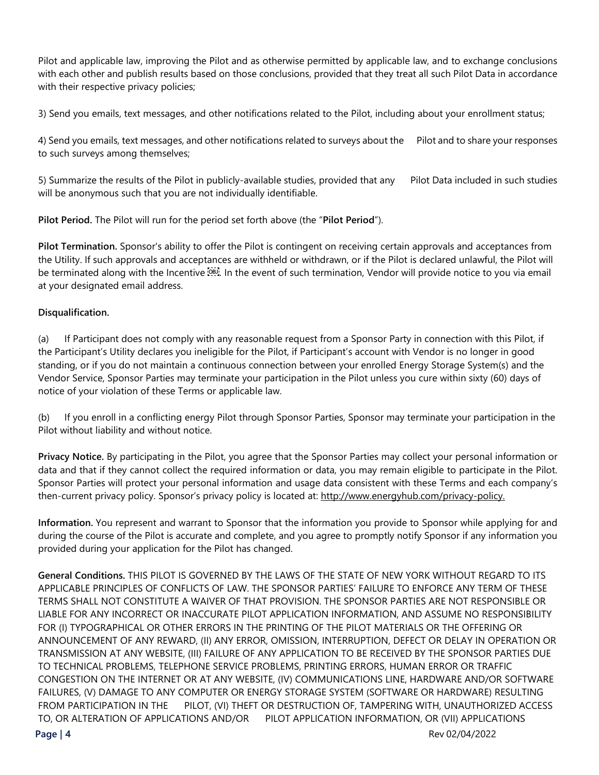Pilot and applicable law, improving the Pilot and as otherwise permitted by applicable law, and to exchange conclusions with each other and publish results based on those conclusions, provided that they treat all such Pilot Data in accordance with their respective privacy policies;

3) Send you emails, text messages, and other notifications related to the Pilot, including about your enrollment status;

4) Send you emails, text messages, and other notifications related to surveys about the Pilot and to share your responses to such surveys among themselves;

5) Summarize the results of the Pilot in publicly-available studies, provided that any Pilot Data included in such studies will be anonymous such that you are not individually identifiable.

**Pilot Period.** The Pilot will run for the period set forth above (the "**Pilot Period**").

**Pilot Termination.** Sponsor's ability to offer the Pilot is contingent on receiving certain approvals and acceptances from the Utility. If such approvals and acceptances are withheld or withdrawn, or if the Pilot is declared unlawful, the Pilot will be terminated along with the Incentive **.** [99]. In the event of such termination, Vendor will provide notice to you via email at your designated email address.

## **Disqualification.**

(a) If Participant does not comply with any reasonable request from a Sponsor Party in connection with this Pilot, if the Participant's Utility declares you ineligible for the Pilot, if Participant's account with Vendor is no longer in good standing, or if you do not maintain a continuous connection between your enrolled Energy Storage System(s) and the Vendor Service, Sponsor Parties may terminate your participation in the Pilot unless you cure within sixty (60) days of notice of your violation of these Terms or applicable law.

(b) If you enroll in a conflicting energy Pilot through Sponsor Parties, Sponsor may terminate your participation in the Pilot without liability and without notice.

**Privacy Notice.** By participating in the Pilot, you agree that the Sponsor Parties may collect your personal information or data and that if they cannot collect the required information or data, you may remain eligible to participate in the Pilot. Sponsor Parties will protect your personal information and usage data consistent with these Terms and each company's then-current privacy policy. Sponsor's privacy policy is located at: [http://www.energyhub.com/privacy-policy.](http://www.energyhub.com/privacy-policy)

**Information.** You represent and warrant to Sponsor that the information you provide to Sponsor while applying for and during the course of the Pilot is accurate and complete, and you agree to promptly notify Sponsor if any information you provided during your application for the Pilot has changed.

**General Conditions.** THIS PILOT IS GOVERNED BY THE LAWS OF THE STATE OF NEW YORK WITHOUT REGARD TO ITS APPLICABLE PRINCIPLES OF CONFLICTS OF LAW. THE SPONSOR PARTIES' FAILURE TO ENFORCE ANY TERM OF THESE TERMS SHALL NOT CONSTITUTE A WAIVER OF THAT PROVISION. THE SPONSOR PARTIES ARE NOT RESPONSIBLE OR LIABLE FOR ANY INCORRECT OR INACCURATE PILOT APPLICATION INFORMATION, AND ASSUME NO RESPONSIBILITY FOR (I) TYPOGRAPHICAL OR OTHER ERRORS IN THE PRINTING OF THE PILOT MATERIALS OR THE OFFERING OR ANNOUNCEMENT OF ANY REWARD, (II) ANY ERROR, OMISSION, INTERRUPTION, DEFECT OR DELAY IN OPERATION OR TRANSMISSION AT ANY WEBSITE, (III) FAILURE OF ANY APPLICATION TO BE RECEIVED BY THE SPONSOR PARTIES DUE TO TECHNICAL PROBLEMS, TELEPHONE SERVICE PROBLEMS, PRINTING ERRORS, HUMAN ERROR OR TRAFFIC CONGESTION ON THE INTERNET OR AT ANY WEBSITE, (IV) COMMUNICATIONS LINE, HARDWARE AND/OR SOFTWARE FAILURES, (V) DAMAGE TO ANY COMPUTER OR ENERGY STORAGE SYSTEM (SOFTWARE OR HARDWARE) RESULTING FROM PARTICIPATION IN THE PILOT, (VI) THEFT OR DESTRUCTION OF, TAMPERING WITH, UNAUTHORIZED ACCESS TO, OR ALTERATION OF APPLICATIONS AND/OR PILOT APPLICATION INFORMATION, OR (VII) APPLICATIONS